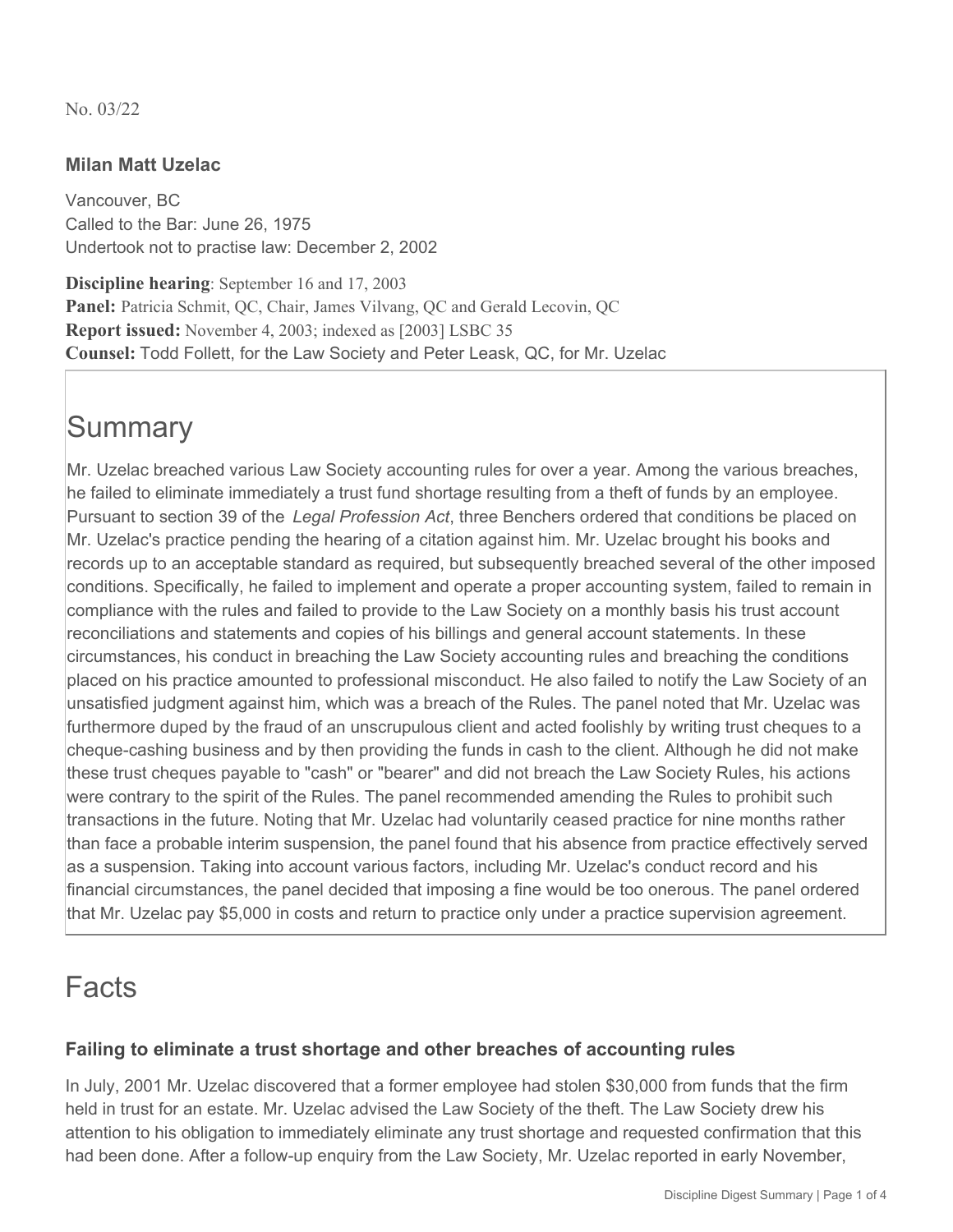No. 03/22

## **Milan Matt Uzelac**

Vancouver, BC Called to the Bar: June 26, 1975 Undertook not to practise law: December 2, 2002

**Discipline hearing**: September 16 and 17, 2003 Panel: Patricia Schmit, QC, Chair, James Vilvang, QC and Gerald Lecovin, QC **Report issued:** November 4, 2003; indexed as [2003] LSBC 35 **Counsel:** Todd Follett, for the Law Society and Peter Leask, QC, for Mr. Uzelac

# **Summary**

Mr. Uzelac breached various Law Society accounting rules for over a year. Among the various breaches, he failed to eliminate immediately a trust fund shortage resulting from a theft of funds by an employee. Pursuant to section 39 of the *Legal Profession Act*, three Benchers ordered that conditions be placed on Mr. Uzelac's practice pending the hearing of a citation against him. Mr. Uzelac brought his books and records up to an acceptable standard as required, but subsequently breached several of the other imposed conditions. Specifically, he failed to implement and operate a proper accounting system, failed to remain in compliance with the rules and failed to provide to the Law Society on a monthly basis his trust account reconciliations and statements and copies of his billings and general account statements. In these circumstances, his conduct in breaching the Law Society accounting rules and breaching the conditions placed on his practice amounted to professional misconduct. He also failed to notify the Law Society of an unsatisfied judgment against him, which was a breach of the Rules. The panel noted that Mr. Uzelac was furthermore duped by the fraud of an unscrupulous client and acted foolishly by writing trust cheques to a cheque-cashing business and by then providing the funds in cash to the client. Although he did not make these trust cheques payable to "cash" or "bearer" and did not breach the Law Society Rules, his actions were contrary to the spirit of the Rules. The panel recommended amending the Rules to prohibit such transactions in the future. Noting that Mr. Uzelac had voluntarily ceased practice for nine months rather than face a probable interim suspension, the panel found that his absence from practice effectively served as a suspension. Taking into account various factors, including Mr. Uzelac's conduct record and his financial circumstances, the panel decided that imposing a fine would be too onerous. The panel ordered that Mr. Uzelac pay \$5,000 in costs and return to practice only under a practice supervision agreement.

# Facts

## **Failing to eliminate a trust shortage and other breaches of accounting rules**

In July, 2001 Mr. Uzelac discovered that a former employee had stolen \$30,000 from funds that the firm held in trust for an estate. Mr. Uzelac advised the Law Society of the theft. The Law Society drew his attention to his obligation to immediately eliminate any trust shortage and requested confirmation that this had been done. After a follow-up enquiry from the Law Society, Mr. Uzelac reported in early November,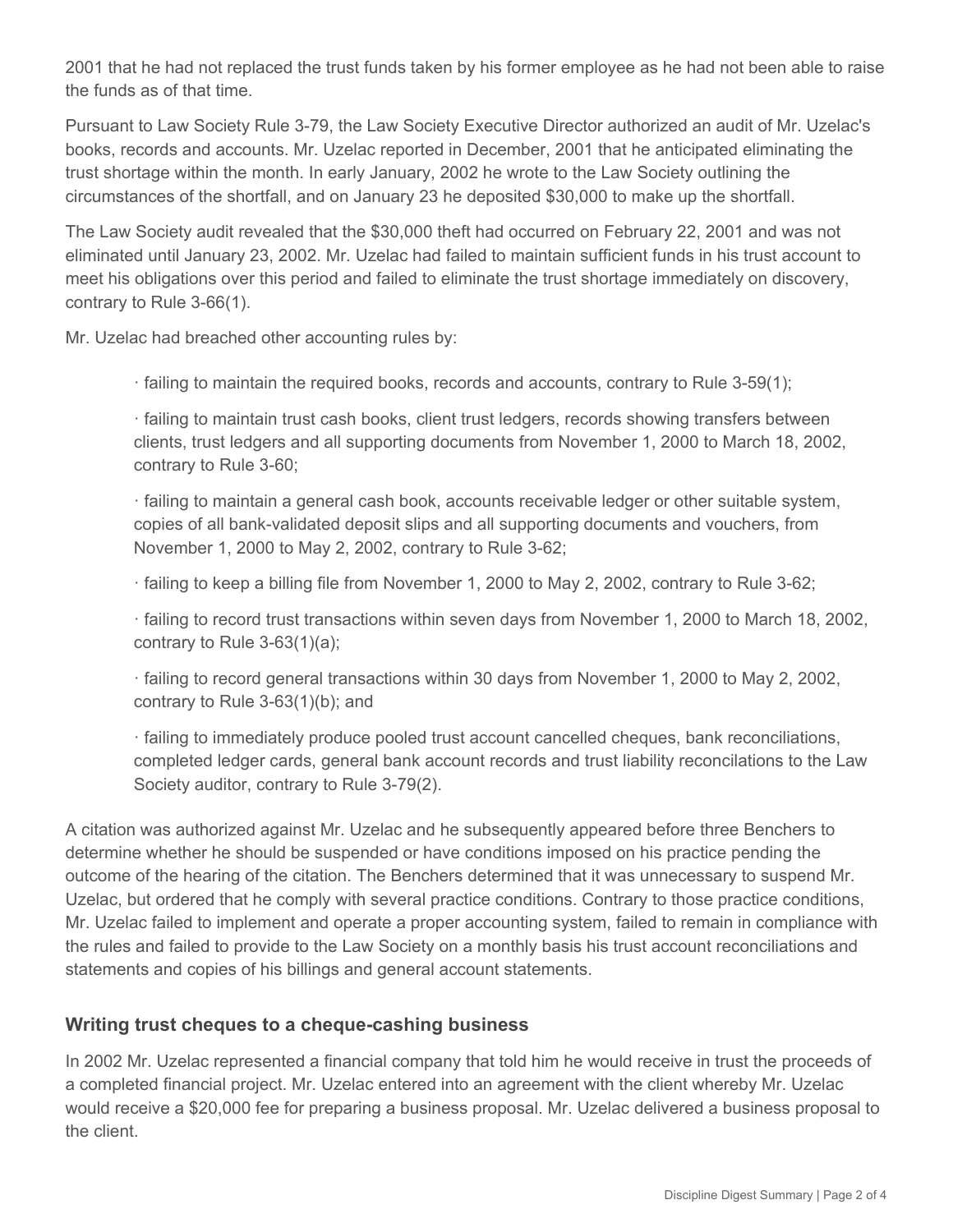2001 that he had not replaced the trust funds taken by his former employee as he had not been able to raise the funds as of that time.

Pursuant to Law Society Rule 3-79, the Law Society Executive Director authorized an audit of Mr. Uzelac's books, records and accounts. Mr. Uzelac reported in December, 2001 that he anticipated eliminating the trust shortage within the month. In early January, 2002 he wrote to the Law Society outlining the circumstances of the shortfall, and on January 23 he deposited \$30,000 to make up the shortfall.

The Law Society audit revealed that the \$30,000 theft had occurred on February 22, 2001 and was not eliminated until January 23, 2002. Mr. Uzelac had failed to maintain sufficient funds in his trust account to meet his obligations over this period and failed to eliminate the trust shortage immediately on discovery, contrary to Rule 3-66(1).

Mr. Uzelac had breached other accounting rules by:

· failing to maintain the required books, records and accounts, contrary to Rule 3-59(1);

· failing to maintain trust cash books, client trust ledgers, records showing transfers between clients, trust ledgers and all supporting documents from November 1, 2000 to March 18, 2002, contrary to Rule 3-60;

· failing to maintain a general cash book, accounts receivable ledger or other suitable system, copies of all bank-validated deposit slips and all supporting documents and vouchers, from November 1, 2000 to May 2, 2002, contrary to Rule 3-62;

· failing to keep a billing file from November 1, 2000 to May 2, 2002, contrary to Rule 3-62;

· failing to record trust transactions within seven days from November 1, 2000 to March 18, 2002, contrary to Rule 3-63(1)(a);

· failing to record general transactions within 30 days from November 1, 2000 to May 2, 2002, contrary to Rule 3-63(1)(b); and

· failing to immediately produce pooled trust account cancelled cheques, bank reconciliations, completed ledger cards, general bank account records and trust liability reconcilations to the Law Society auditor, contrary to Rule 3-79(2).

A citation was authorized against Mr. Uzelac and he subsequently appeared before three Benchers to determine whether he should be suspended or have conditions imposed on his practice pending the outcome of the hearing of the citation. The Benchers determined that it was unnecessary to suspend Mr. Uzelac, but ordered that he comply with several practice conditions. Contrary to those practice conditions, Mr. Uzelac failed to implement and operate a proper accounting system, failed to remain in compliance with the rules and failed to provide to the Law Society on a monthly basis his trust account reconciliations and statements and copies of his billings and general account statements.

#### **Writing trust cheques to a cheque-cashing business**

In 2002 Mr. Uzelac represented a financial company that told him he would receive in trust the proceeds of a completed financial project. Mr. Uzelac entered into an agreement with the client whereby Mr. Uzelac would receive a \$20,000 fee for preparing a business proposal. Mr. Uzelac delivered a business proposal to the client.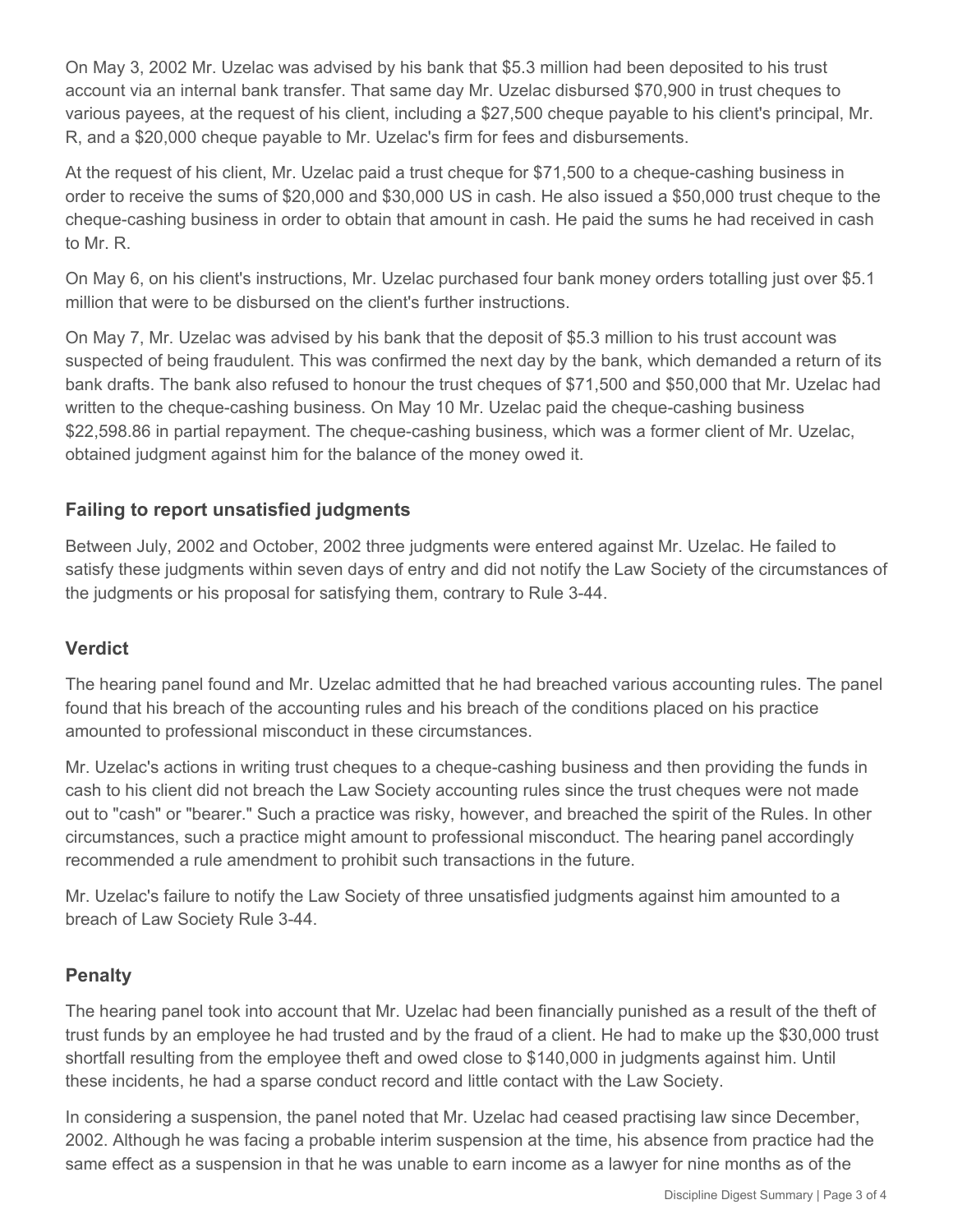On May 3, 2002 Mr. Uzelac was advised by his bank that \$5.3 million had been deposited to his trust account via an internal bank transfer. That same day Mr. Uzelac disbursed \$70,900 in trust cheques to various payees, at the request of his client, including a \$27,500 cheque payable to his client's principal, Mr. R, and a \$20,000 cheque payable to Mr. Uzelac's firm for fees and disbursements.

At the request of his client, Mr. Uzelac paid a trust cheque for \$71,500 to a cheque-cashing business in order to receive the sums of \$20,000 and \$30,000 US in cash. He also issued a \$50,000 trust cheque to the cheque-cashing business in order to obtain that amount in cash. He paid the sums he had received in cash to Mr. R.

On May 6, on his client's instructions, Mr. Uzelac purchased four bank money orders totalling just over \$5.1 million that were to be disbursed on the client's further instructions.

On May 7, Mr. Uzelac was advised by his bank that the deposit of \$5.3 million to his trust account was suspected of being fraudulent. This was confirmed the next day by the bank, which demanded a return of its bank drafts. The bank also refused to honour the trust cheques of \$71,500 and \$50,000 that Mr. Uzelac had written to the cheque-cashing business. On May 10 Mr. Uzelac paid the cheque-cashing business \$22,598.86 in partial repayment. The cheque-cashing business, which was a former client of Mr. Uzelac, obtained judgment against him for the balance of the money owed it.

## **Failing to report unsatisfied judgments**

Between July, 2002 and October, 2002 three judgments were entered against Mr. Uzelac. He failed to satisfy these judgments within seven days of entry and did not notify the Law Society of the circumstances of the judgments or his proposal for satisfying them, contrary to Rule 3-44.

### **Verdict**

The hearing panel found and Mr. Uzelac admitted that he had breached various accounting rules. The panel found that his breach of the accounting rules and his breach of the conditions placed on his practice amounted to professional misconduct in these circumstances.

Mr. Uzelac's actions in writing trust cheques to a cheque-cashing business and then providing the funds in cash to his client did not breach the Law Society accounting rules since the trust cheques were not made out to "cash" or "bearer." Such a practice was risky, however, and breached the spirit of the Rules. In other circumstances, such a practice might amount to professional misconduct. The hearing panel accordingly recommended a rule amendment to prohibit such transactions in the future.

Mr. Uzelac's failure to notify the Law Society of three unsatisfied judgments against him amounted to a breach of Law Society Rule 3-44.

### **Penalty**

The hearing panel took into account that Mr. Uzelac had been financially punished as a result of the theft of trust funds by an employee he had trusted and by the fraud of a client. He had to make up the \$30,000 trust shortfall resulting from the employee theft and owed close to \$140,000 in judgments against him. Until these incidents, he had a sparse conduct record and little contact with the Law Society.

In considering a suspension, the panel noted that Mr. Uzelac had ceased practising law since December, 2002. Although he was facing a probable interim suspension at the time, his absence from practice had the same effect as a suspension in that he was unable to earn income as a lawyer for nine months as of the